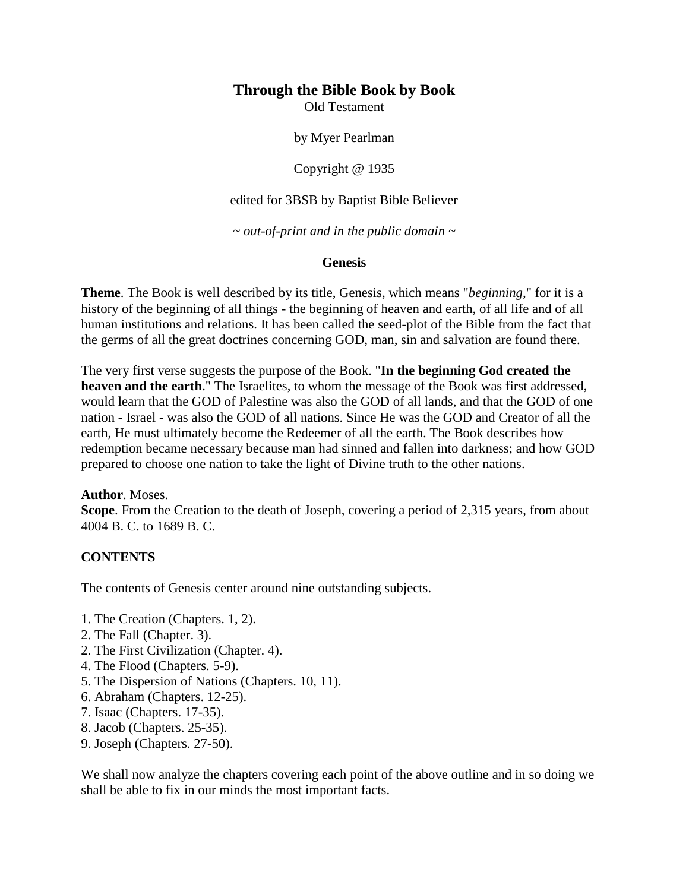# **Through the Bible Book by Book**

Old Testament

by Myer Pearlman

Copyright @ 1935

edited for 3BSB by Baptist Bible Believer

*~ out-of-print and in the public domain ~*

#### **Genesis**

**Theme**. The Book is well described by its title, Genesis, which means "*beginning*," for it is a history of the beginning of all things - the beginning of heaven and earth, of all life and of all human institutions and relations. It has been called the seed-plot of the Bible from the fact that the germs of all the great doctrines concerning GOD, man, sin and salvation are found there.

The very first verse suggests the purpose of the Book. "**In the beginning God created the heaven and the earth**." The Israelites, to whom the message of the Book was first addressed, would learn that the GOD of Palestine was also the GOD of all lands, and that the GOD of one nation - Israel - was also the GOD of all nations. Since He was the GOD and Creator of all the earth, He must ultimately become the Redeemer of all the earth. The Book describes how redemption became necessary because man had sinned and fallen into darkness; and how GOD prepared to choose one nation to take the light of Divine truth to the other nations.

#### **Author**. Moses.

**Scope**. From the Creation to the death of Joseph, covering a period of 2,315 years, from about 4004 B. C. to 1689 B. C.

# **CONTENTS**

The contents of Genesis center around nine outstanding subjects.

- 1. The Creation (Chapters. 1, 2).
- 2. The Fall (Chapter. 3).
- 2. The First Civilization (Chapter. 4).
- 4. The Flood (Chapters. 5-9).
- 5. The Dispersion of Nations (Chapters. 10, 11).
- 6. Abraham (Chapters. 12-25).
- 7. Isaac (Chapters. 17-35).
- 8. Jacob (Chapters. 25-35).
- 9. Joseph (Chapters. 27-50).

We shall now analyze the chapters covering each point of the above outline and in so doing we shall be able to fix in our minds the most important facts.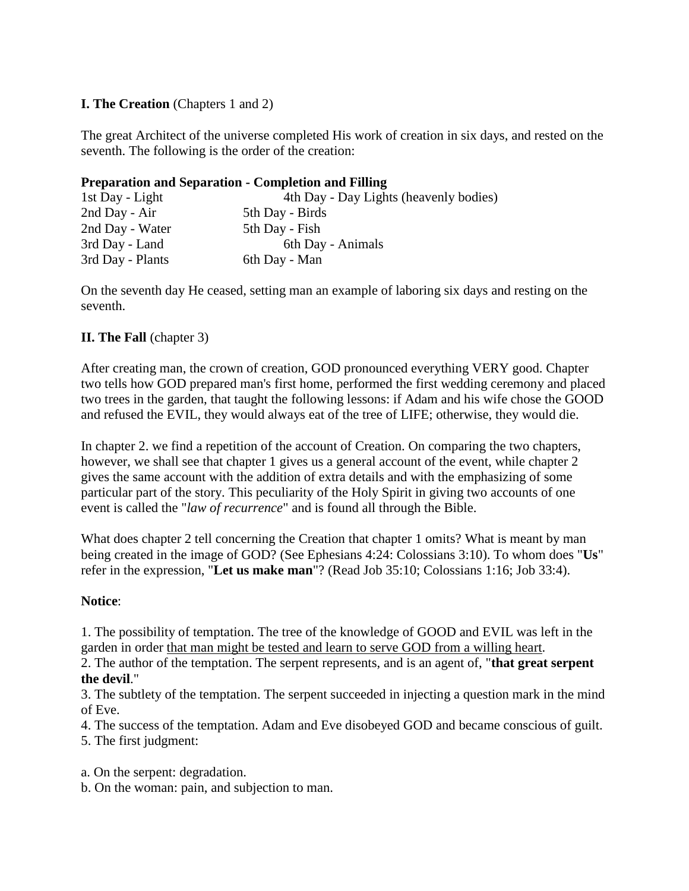# **I. The Creation** (Chapters 1 and 2)

The great Architect of the universe completed His work of creation in six days, and rested on the seventh. The following is the order of the creation:

#### **Preparation and Separation - Completion and Filling**

| 1st Day - Light  | 4th Day - Day Lights (heavenly bodies) |
|------------------|----------------------------------------|
| 2nd Day - Air    | 5th Day - Birds                        |
| 2nd Day - Water  | 5th Day - Fish                         |
| 3rd Day - Land   | 6th Day - Animals                      |
| 3rd Day - Plants | 6th Day - Man                          |

On the seventh day He ceased, setting man an example of laboring six days and resting on the seventh.

# **II. The Fall** (chapter 3)

After creating man, the crown of creation, GOD pronounced everything VERY good. Chapter two tells how GOD prepared man's first home, performed the first wedding ceremony and placed two trees in the garden, that taught the following lessons: if Adam and his wife chose the GOOD and refused the EVIL, they would always eat of the tree of LIFE; otherwise, they would die.

In chapter 2. we find a repetition of the account of Creation. On comparing the two chapters, however, we shall see that chapter 1 gives us a general account of the event, while chapter 2 gives the same account with the addition of extra details and with the emphasizing of some particular part of the story. This peculiarity of the Holy Spirit in giving two accounts of one event is called the "*law of recurrence*" and is found all through the Bible.

What does chapter 2 tell concerning the Creation that chapter 1 omits? What is meant by man being created in the image of GOD? (See Ephesians 4:24: Colossians 3:10). To whom does "**Us**" refer in the expression, "**Let us make man**"? (Read Job 35:10; Colossians 1:16; Job 33:4).

# **Notice**:

1. The possibility of temptation. The tree of the knowledge of GOOD and EVIL was left in the garden in order that man might be tested and learn to serve GOD from a willing heart.

2. The author of the temptation. The serpent represents, and is an agent of, "**that great serpent the devil**."

3. The subtlety of the temptation. The serpent succeeded in injecting a question mark in the mind of Eve.

4. The success of the temptation. Adam and Eve disobeyed GOD and became conscious of guilt.

5. The first judgment:

a. On the serpent: degradation.

b. On the woman: pain, and subjection to man.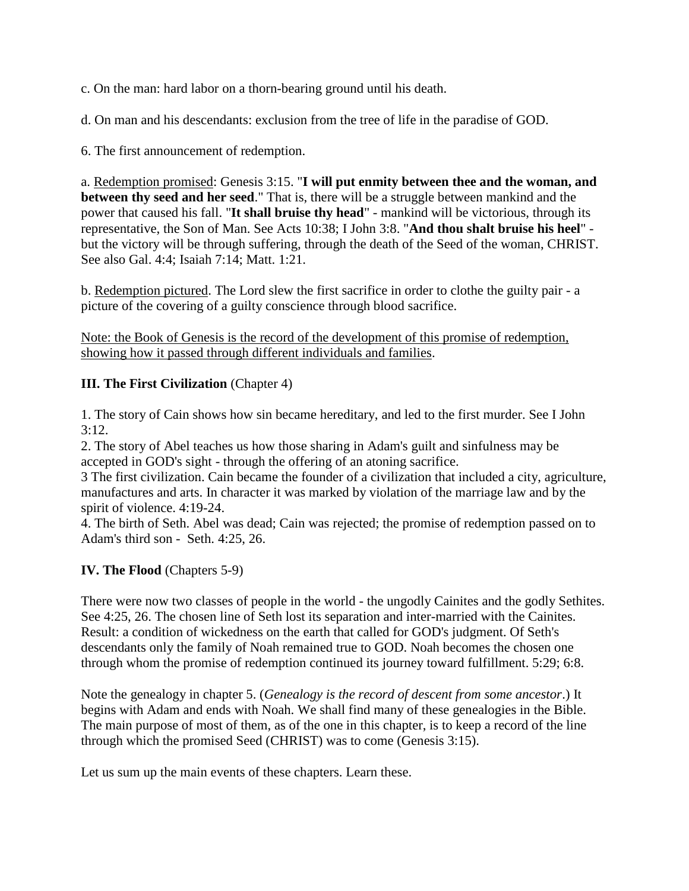c. On the man: hard labor on a thorn-bearing ground until his death.

d. On man and his descendants: exclusion from the tree of life in the paradise of GOD.

6. The first announcement of redemption.

a. Redemption promised: Genesis 3:15. "**I will put enmity between thee and the woman, and between thy seed and her seed**." That is, there will be a struggle between mankind and the power that caused his fall. "**It shall bruise thy head**" - mankind will be victorious, through its representative, the Son of Man. See Acts 10:38; I John 3:8. "**And thou shalt bruise his heel**" but the victory will be through suffering, through the death of the Seed of the woman, CHRIST. See also Gal. 4:4; Isaiah 7:14; Matt. 1:21.

b. Redemption pictured. The Lord slew the first sacrifice in order to clothe the guilty pair - a picture of the covering of a guilty conscience through blood sacrifice.

Note: the Book of Genesis is the record of the development of this promise of redemption, showing how it passed through different individuals and families.

# **III. The First Civilization** (Chapter 4)

1. The story of Cain shows how sin became hereditary, and led to the first murder. See I John  $3:12.$ 

2. The story of Abel teaches us how those sharing in Adam's guilt and sinfulness may be accepted in GOD's sight - through the offering of an atoning sacrifice.

3 The first civilization. Cain became the founder of a civilization that included a city, agriculture, manufactures and arts. In character it was marked by violation of the marriage law and by the spirit of violence. 4:19-24.

4. The birth of Seth. Abel was dead; Cain was rejected; the promise of redemption passed on to Adam's third son - Seth. 4:25, 26.

# **IV. The Flood** (Chapters 5-9)

There were now two classes of people in the world - the ungodly Cainites and the godly Sethites. See 4:25, 26. The chosen line of Seth lost its separation and inter-married with the Cainites. Result: a condition of wickedness on the earth that called for GOD's judgment. Of Seth's descendants only the family of Noah remained true to GOD. Noah becomes the chosen one through whom the promise of redemption continued its journey toward fulfillment. 5:29; 6:8.

Note the genealogy in chapter 5. (*Genealogy is the record of descent from some ancestor*.) It begins with Adam and ends with Noah. We shall find many of these genealogies in the Bible. The main purpose of most of them, as of the one in this chapter, is to keep a record of the line through which the promised Seed (CHRIST) was to come (Genesis 3:15).

Let us sum up the main events of these chapters. Learn these.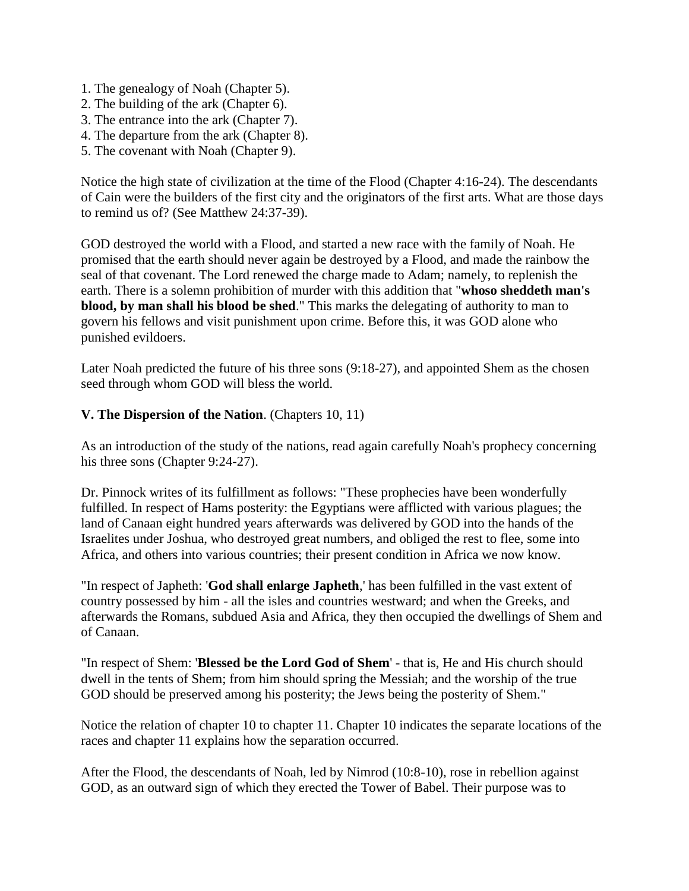- 1. The genealogy of Noah (Chapter 5).
- 2. The building of the ark (Chapter 6).
- 3. The entrance into the ark (Chapter 7).
- 4. The departure from the ark (Chapter 8).
- 5. The covenant with Noah (Chapter 9).

Notice the high state of civilization at the time of the Flood (Chapter 4:16-24). The descendants of Cain were the builders of the first city and the originators of the first arts. What are those days to remind us of? (See Matthew 24:37-39).

GOD destroyed the world with a Flood, and started a new race with the family of Noah. He promised that the earth should never again be destroyed by a Flood, and made the rainbow the seal of that covenant. The Lord renewed the charge made to Adam; namely, to replenish the earth. There is a solemn prohibition of murder with this addition that "**whoso sheddeth man's blood, by man shall his blood be shed**." This marks the delegating of authority to man to govern his fellows and visit punishment upon crime. Before this, it was GOD alone who punished evildoers.

Later Noah predicted the future of his three sons (9:18-27), and appointed Shem as the chosen seed through whom GOD will bless the world.

#### **V. The Dispersion of the Nation**. (Chapters 10, 11)

As an introduction of the study of the nations, read again carefully Noah's prophecy concerning his three sons (Chapter 9:24-27).

Dr. Pinnock writes of its fulfillment as follows: "These prophecies have been wonderfully fulfilled. In respect of Hams posterity: the Egyptians were afflicted with various plagues; the land of Canaan eight hundred years afterwards was delivered by GOD into the hands of the Israelites under Joshua, who destroyed great numbers, and obliged the rest to flee, some into Africa, and others into various countries; their present condition in Africa we now know.

"In respect of Japheth: '**God shall enlarge Japheth**,' has been fulfilled in the vast extent of country possessed by him - all the isles and countries westward; and when the Greeks, and afterwards the Romans, subdued Asia and Africa, they then occupied the dwellings of Shem and of Canaan.

"In respect of Shem: '**Blessed be the Lord God of Shem**' - that is, He and His church should dwell in the tents of Shem; from him should spring the Messiah; and the worship of the true GOD should be preserved among his posterity; the Jews being the posterity of Shem."

Notice the relation of chapter 10 to chapter 11. Chapter 10 indicates the separate locations of the races and chapter 11 explains how the separation occurred.

After the Flood, the descendants of Noah, led by Nimrod (10:8-10), rose in rebellion against GOD, as an outward sign of which they erected the Tower of Babel. Their purpose was to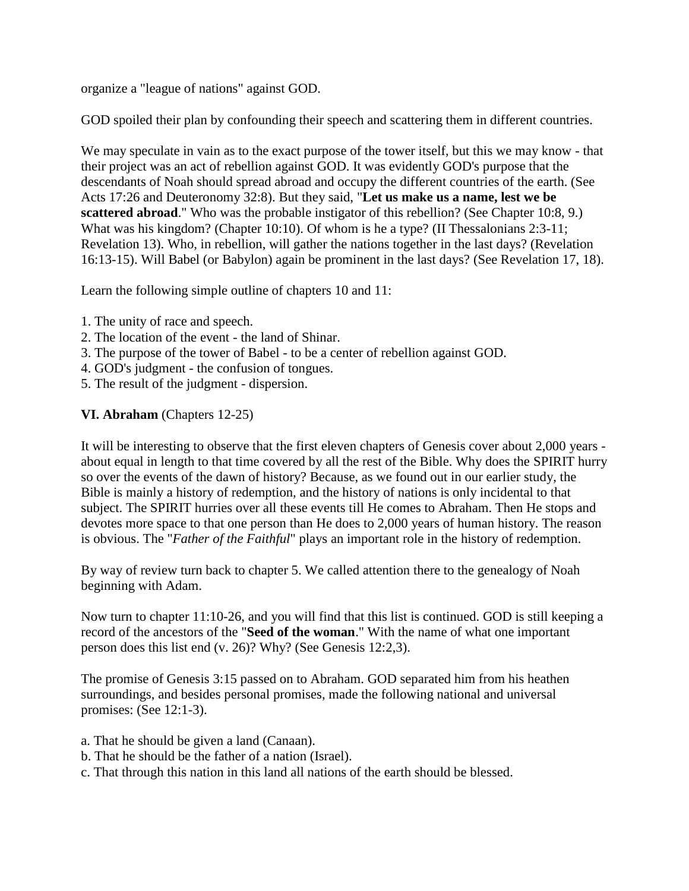organize a "league of nations" against GOD.

GOD spoiled their plan by confounding their speech and scattering them in different countries.

We may speculate in vain as to the exact purpose of the tower itself, but this we may know - that their project was an act of rebellion against GOD. It was evidently GOD's purpose that the descendants of Noah should spread abroad and occupy the different countries of the earth. (See Acts 17:26 and Deuteronomy 32:8). But they said, "**Let us make us a name, lest we be scattered abroad**." Who was the probable instigator of this rebellion? (See Chapter 10:8, 9.) What was his kingdom? (Chapter 10:10). Of whom is he a type? (II Thessalonians 2:3-11; Revelation 13). Who, in rebellion, will gather the nations together in the last days? (Revelation 16:13-15). Will Babel (or Babylon) again be prominent in the last days? (See Revelation 17, 18).

Learn the following simple outline of chapters 10 and 11:

- 1. The unity of race and speech.
- 2. The location of the event the land of Shinar.
- 3. The purpose of the tower of Babel to be a center of rebellion against GOD.
- 4. GOD's judgment the confusion of tongues.
- 5. The result of the judgment dispersion.

#### **VI. Abraham** (Chapters 12-25)

It will be interesting to observe that the first eleven chapters of Genesis cover about 2,000 years about equal in length to that time covered by all the rest of the Bible. Why does the SPIRIT hurry so over the events of the dawn of history? Because, as we found out in our earlier study, the Bible is mainly a history of redemption, and the history of nations is only incidental to that subject. The SPIRIT hurries over all these events till He comes to Abraham. Then He stops and devotes more space to that one person than He does to 2,000 years of human history. The reason is obvious. The "*Father of the Faithful*" plays an important role in the history of redemption.

By way of review turn back to chapter 5. We called attention there to the genealogy of Noah beginning with Adam.

Now turn to chapter 11:10-26, and you will find that this list is continued. GOD is still keeping a record of the ancestors of the "**Seed of the woman**." With the name of what one important person does this list end (v. 26)? Why? (See Genesis 12:2,3).

The promise of Genesis 3:15 passed on to Abraham. GOD separated him from his heathen surroundings, and besides personal promises, made the following national and universal promises: (See 12:1-3).

- a. That he should be given a land (Canaan).
- b. That he should be the father of a nation (Israel).
- c. That through this nation in this land all nations of the earth should be blessed.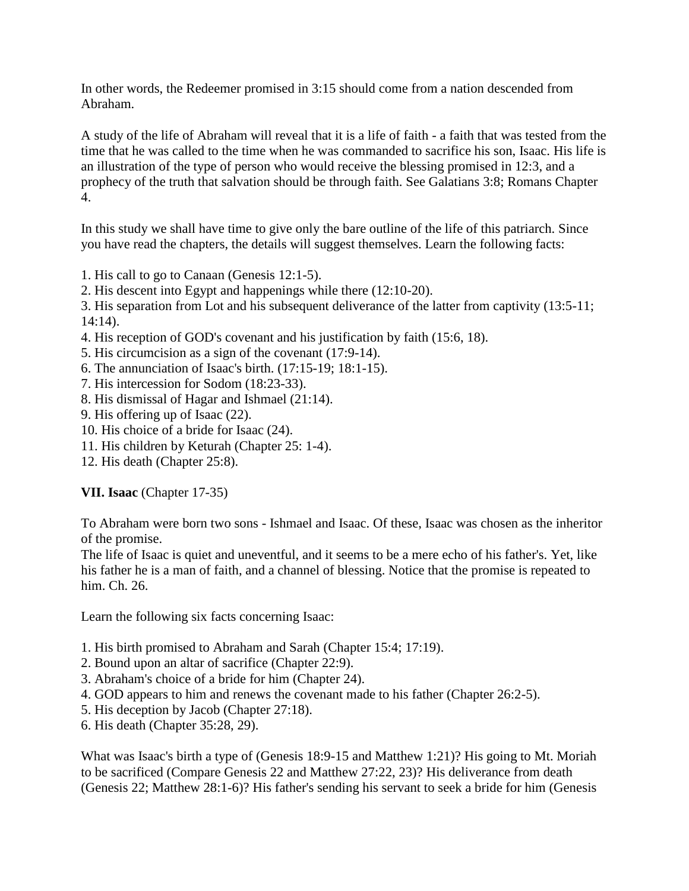In other words, the Redeemer promised in 3:15 should come from a nation descended from Abraham.

A study of the life of Abraham will reveal that it is a life of faith - a faith that was tested from the time that he was called to the time when he was commanded to sacrifice his son, Isaac. His life is an illustration of the type of person who would receive the blessing promised in 12:3, and a prophecy of the truth that salvation should be through faith. See Galatians 3:8; Romans Chapter 4.

In this study we shall have time to give only the bare outline of the life of this patriarch. Since you have read the chapters, the details will suggest themselves. Learn the following facts:

1. His call to go to Canaan (Genesis 12:1-5).

2. His descent into Egypt and happenings while there (12:10-20).

3. His separation from Lot and his subsequent deliverance of the latter from captivity (13:5-11; 14:14).

- 4. His reception of GOD's covenant and his justification by faith (15:6, 18).
- 5. His circumcision as a sign of the covenant (17:9-14).
- 6. The annunciation of Isaac's birth. (17:15-19; 18:1-15).
- 7. His intercession for Sodom (18:23-33).
- 8. His dismissal of Hagar and Ishmael (21:14).
- 9. His offering up of Isaac (22).
- 10. His choice of a bride for Isaac (24).
- 11. His children by Keturah (Chapter 25: 1-4).
- 12. His death (Chapter 25:8).

**VII. Isaac** (Chapter 17-35)

To Abraham were born two sons - Ishmael and Isaac. Of these, Isaac was chosen as the inheritor of the promise.

The life of Isaac is quiet and uneventful, and it seems to be a mere echo of his father's. Yet, like his father he is a man of faith, and a channel of blessing. Notice that the promise is repeated to him. Ch. 26.

Learn the following six facts concerning Isaac:

- 1. His birth promised to Abraham and Sarah (Chapter 15:4; 17:19).
- 2. Bound upon an altar of sacrifice (Chapter 22:9).
- 3. Abraham's choice of a bride for him (Chapter 24).
- 4. GOD appears to him and renews the covenant made to his father (Chapter 26:2-5).
- 5. His deception by Jacob (Chapter 27:18).
- 6. His death (Chapter 35:28, 29).

What was Isaac's birth a type of (Genesis 18:9-15 and Matthew 1:21)? His going to Mt. Moriah to be sacrificed (Compare Genesis 22 and Matthew 27:22, 23)? His deliverance from death (Genesis 22; Matthew 28:1-6)? His father's sending his servant to seek a bride for him (Genesis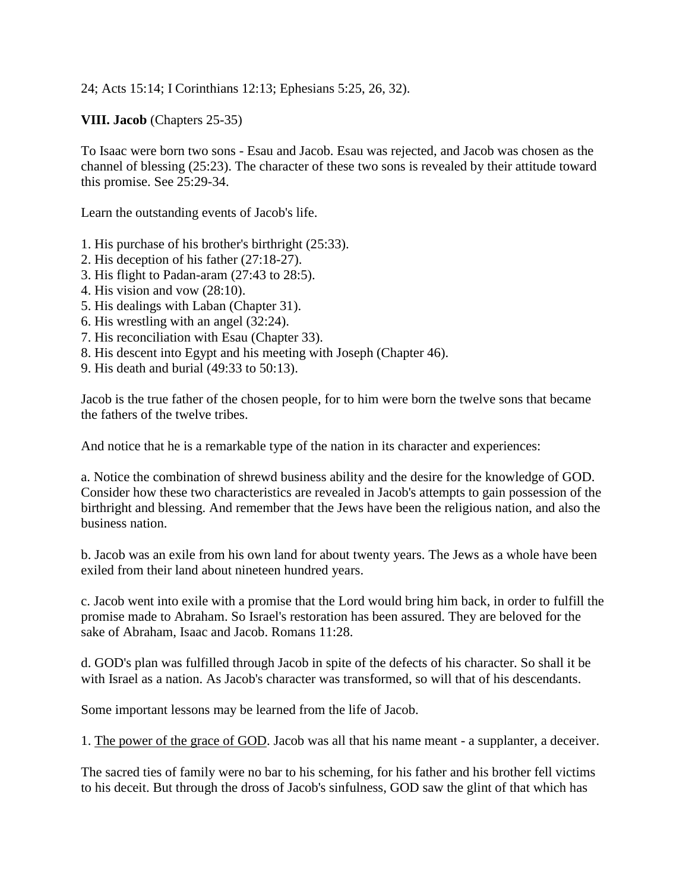24; Acts 15:14; I Corinthians 12:13; Ephesians 5:25, 26, 32).

**VIII. Jacob** (Chapters 25-35)

To Isaac were born two sons - Esau and Jacob. Esau was rejected, and Jacob was chosen as the channel of blessing (25:23). The character of these two sons is revealed by their attitude toward this promise. See 25:29-34.

Learn the outstanding events of Jacob's life.

- 1. His purchase of his brother's birthright (25:33).
- 2. His deception of his father (27:18-27).
- 3. His flight to Padan-aram (27:43 to 28:5).
- 4. His vision and vow (28:10).
- 5. His dealings with Laban (Chapter 31).
- 6. His wrestling with an angel (32:24).
- 7. His reconciliation with Esau (Chapter 33).
- 8. His descent into Egypt and his meeting with Joseph (Chapter 46).
- 9. His death and burial (49:33 to 50:13).

Jacob is the true father of the chosen people, for to him were born the twelve sons that became the fathers of the twelve tribes.

And notice that he is a remarkable type of the nation in its character and experiences:

a. Notice the combination of shrewd business ability and the desire for the knowledge of GOD. Consider how these two characteristics are revealed in Jacob's attempts to gain possession of the birthright and blessing. And remember that the Jews have been the religious nation, and also the business nation.

b. Jacob was an exile from his own land for about twenty years. The Jews as a whole have been exiled from their land about nineteen hundred years.

c. Jacob went into exile with a promise that the Lord would bring him back, in order to fulfill the promise made to Abraham. So Israel's restoration has been assured. They are beloved for the sake of Abraham, Isaac and Jacob. Romans 11:28.

d. GOD's plan was fulfilled through Jacob in spite of the defects of his character. So shall it be with Israel as a nation. As Jacob's character was transformed, so will that of his descendants.

Some important lessons may be learned from the life of Jacob.

1. The power of the grace of GOD. Jacob was all that his name meant - a supplanter, a deceiver.

The sacred ties of family were no bar to his scheming, for his father and his brother fell victims to his deceit. But through the dross of Jacob's sinfulness, GOD saw the glint of that which has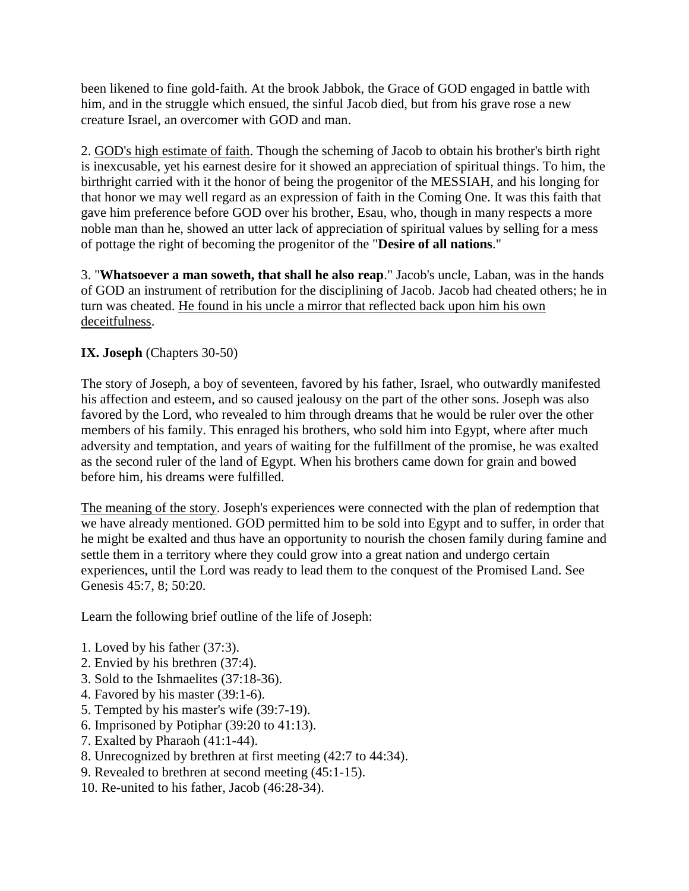been likened to fine gold-faith. At the brook Jabbok, the Grace of GOD engaged in battle with him, and in the struggle which ensued, the sinful Jacob died, but from his grave rose a new creature Israel, an overcomer with GOD and man.

2. GOD's high estimate of faith. Though the scheming of Jacob to obtain his brother's birth right is inexcusable, yet his earnest desire for it showed an appreciation of spiritual things. To him, the birthright carried with it the honor of being the progenitor of the MESSIAH, and his longing for that honor we may well regard as an expression of faith in the Coming One. It was this faith that gave him preference before GOD over his brother, Esau, who, though in many respects a more noble man than he, showed an utter lack of appreciation of spiritual values by selling for a mess of pottage the right of becoming the progenitor of the "**Desire of all nations**."

3. "**Whatsoever a man soweth, that shall he also reap**." Jacob's uncle, Laban, was in the hands of GOD an instrument of retribution for the disciplining of Jacob. Jacob had cheated others; he in turn was cheated. He found in his uncle a mirror that reflected back upon him his own deceitfulness.

# **IX. Joseph** (Chapters 30-50)

The story of Joseph, a boy of seventeen, favored by his father, Israel, who outwardly manifested his affection and esteem, and so caused jealousy on the part of the other sons. Joseph was also favored by the Lord, who revealed to him through dreams that he would be ruler over the other members of his family. This enraged his brothers, who sold him into Egypt, where after much adversity and temptation, and years of waiting for the fulfillment of the promise, he was exalted as the second ruler of the land of Egypt. When his brothers came down for grain and bowed before him, his dreams were fulfilled.

The meaning of the story. Joseph's experiences were connected with the plan of redemption that we have already mentioned. GOD permitted him to be sold into Egypt and to suffer, in order that he might be exalted and thus have an opportunity to nourish the chosen family during famine and settle them in a territory where they could grow into a great nation and undergo certain experiences, until the Lord was ready to lead them to the conquest of the Promised Land. See Genesis 45:7, 8; 50:20.

Learn the following brief outline of the life of Joseph:

- 1. Loved by his father (37:3).
- 2. Envied by his brethren (37:4).
- 3. Sold to the Ishmaelites (37:18-36).
- 4. Favored by his master (39:1-6).
- 5. Tempted by his master's wife (39:7-19).
- 6. Imprisoned by Potiphar (39:20 to 41:13).
- 7. Exalted by Pharaoh (41:1-44).
- 8. Unrecognized by brethren at first meeting (42:7 to 44:34).
- 9. Revealed to brethren at second meeting (45:1-15).
- 10. Re-united to his father, Jacob (46:28-34).